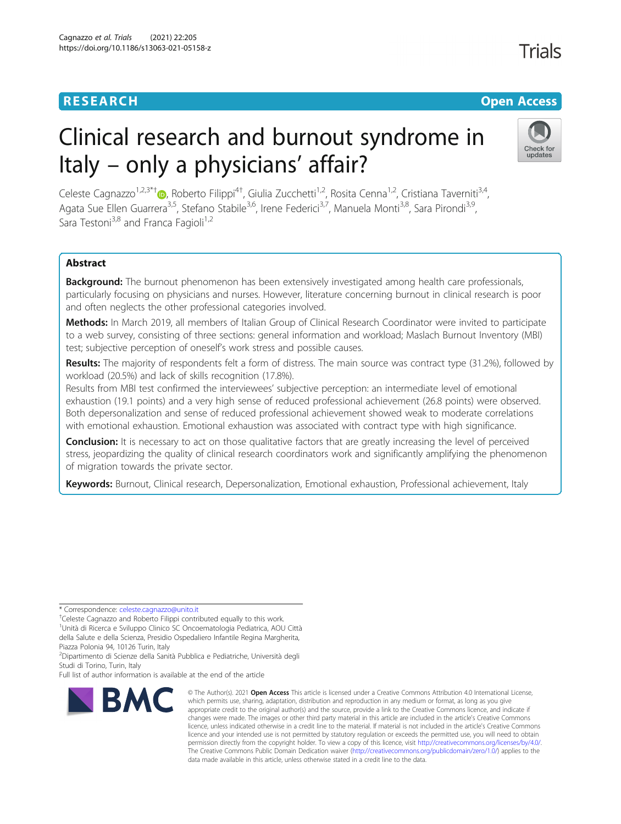## **RESEARCH CHE Open Access**

# Trials

# Clinical research and burnout syndrome in Italy – only a physicians' affair?



Celeste Cagnazzo<sup>1[,](http://orcid.org/0000-0003-4055-3139)2,3\*†</sup>®, Roberto Filippi<sup>4†</sup>, Giulia Zucchetti<sup>1,2</sup>, Rosita Cenna<sup>1,2</sup>, Cristiana Taverniti<sup>3,4</sup>, Agata Sue Ellen Guarrera<sup>3,5</sup>, Stefano Stabile<sup>3,6</sup>, Irene Federici<sup>3,7</sup>, Manuela Monti<sup>3,8</sup>, Sara Pirondi<sup>3,9</sup>, Sara Testoni<sup>3,8</sup> and Franca Fagioli<sup>1,2</sup>

### Abstract

**Background:** The burnout phenomenon has been extensively investigated among health care professionals, particularly focusing on physicians and nurses. However, literature concerning burnout in clinical research is poor and often neglects the other professional categories involved.

Methods: In March 2019, all members of Italian Group of Clinical Research Coordinator were invited to participate to a web survey, consisting of three sections: general information and workload; Maslach Burnout Inventory (MBI) test; subjective perception of oneself's work stress and possible causes.

Results: The majority of respondents felt a form of distress. The main source was contract type (31.2%), followed by workload (20.5%) and lack of skills recognition (17.8%).

Results from MBI test confirmed the interviewees' subjective perception: an intermediate level of emotional exhaustion (19.1 points) and a very high sense of reduced professional achievement (26.8 points) were observed. Both depersonalization and sense of reduced professional achievement showed weak to moderate correlations with emotional exhaustion. Emotional exhaustion was associated with contract type with high significance.

**Conclusion:** It is necessary to act on those qualitative factors that are greatly increasing the level of perceived stress, jeopardizing the quality of clinical research coordinators work and significantly amplifying the phenomenon of migration towards the private sector.

Keywords: Burnout, Clinical research, Depersonalization, Emotional exhaustion, Professional achievement, Italy

\* Correspondence: [celeste.cagnazzo@unito.it](mailto:celeste.cagnazzo@unito.it) †

Celeste Cagnazzo and Roberto Filippi contributed equally to this work.

1 Unità di Ricerca e Sviluppo Clinico SC Oncoematologia Pediatrica, AOU Città della Salute e della Scienza, Presidio Ospedaliero Infantile Regina Margherita,

Piazza Polonia 94, 10126 Turin, Italy

2 Dipartimento di Scienze della Sanità Pubblica e Pediatriche, Università degli Studi di Torino, Turin, Italy

Full list of author information is available at the end of the article



<sup>©</sup> The Author(s), 2021 **Open Access** This article is licensed under a Creative Commons Attribution 4.0 International License, which permits use, sharing, adaptation, distribution and reproduction in any medium or format, as long as you give appropriate credit to the original author(s) and the source, provide a link to the Creative Commons licence, and indicate if changes were made. The images or other third party material in this article are included in the article's Creative Commons licence, unless indicated otherwise in a credit line to the material. If material is not included in the article's Creative Commons licence and your intended use is not permitted by statutory regulation or exceeds the permitted use, you will need to obtain permission directly from the copyright holder. To view a copy of this licence, visit [http://creativecommons.org/licenses/by/4.0/.](http://creativecommons.org/licenses/by/4.0/) The Creative Commons Public Domain Dedication waiver [\(http://creativecommons.org/publicdomain/zero/1.0/](http://creativecommons.org/publicdomain/zero/1.0/)) applies to the data made available in this article, unless otherwise stated in a credit line to the data.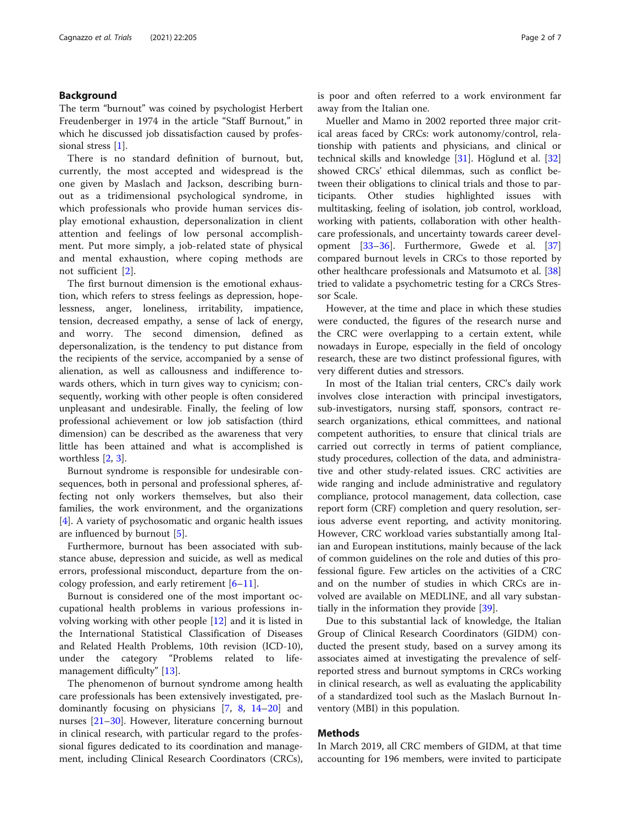#### Background

The term "burnout" was coined by psychologist Herbert Freudenberger in 1974 in the article "Staff Burnout," in which he discussed job dissatisfaction caused by profes-sional stress [\[1](#page-5-0)].

There is no standard definition of burnout, but, currently, the most accepted and widespread is the one given by Maslach and Jackson, describing burnout as a tridimensional psychological syndrome, in which professionals who provide human services display emotional exhaustion, depersonalization in client attention and feelings of low personal accomplishment. Put more simply, a job-related state of physical and mental exhaustion, where coping methods are not sufficient [[2](#page-6-0)].

The first burnout dimension is the emotional exhaustion, which refers to stress feelings as depression, hopelessness, anger, loneliness, irritability, impatience, tension, decreased empathy, a sense of lack of energy, and worry. The second dimension, defined as depersonalization, is the tendency to put distance from the recipients of the service, accompanied by a sense of alienation, as well as callousness and indifference towards others, which in turn gives way to cynicism; consequently, working with other people is often considered unpleasant and undesirable. Finally, the feeling of low professional achievement or low job satisfaction (third dimension) can be described as the awareness that very little has been attained and what is accomplished is worthless [\[2](#page-6-0), [3](#page-6-0)].

Burnout syndrome is responsible for undesirable consequences, both in personal and professional spheres, affecting not only workers themselves, but also their families, the work environment, and the organizations [[4\]](#page-6-0). A variety of psychosomatic and organic health issues are influenced by burnout [\[5](#page-6-0)].

Furthermore, burnout has been associated with substance abuse, depression and suicide, as well as medical errors, professional misconduct, departure from the oncology profession, and early retirement  $[6–11]$  $[6–11]$  $[6–11]$  $[6–11]$ .

Burnout is considered one of the most important occupational health problems in various professions involving working with other people [[12\]](#page-6-0) and it is listed in the International Statistical Classification of Diseases and Related Health Problems, 10th revision (ICD-10), under the category "Problems related to lifemanagement difficulty" [[13\]](#page-6-0).

The phenomenon of burnout syndrome among health care professionals has been extensively investigated, predominantly focusing on physicians [[7](#page-6-0), [8](#page-6-0), [14](#page-6-0)–[20\]](#page-6-0) and nurses [\[21](#page-6-0)–[30\]](#page-6-0). However, literature concerning burnout in clinical research, with particular regard to the professional figures dedicated to its coordination and management, including Clinical Research Coordinators (CRCs), is poor and often referred to a work environment far away from the Italian one.

Mueller and Mamo in 2002 reported three major critical areas faced by CRCs: work autonomy/control, relationship with patients and physicians, and clinical or technical skills and knowledge [[31\]](#page-6-0). Höglund et al. [[32](#page-6-0)] showed CRCs' ethical dilemmas, such as conflict between their obligations to clinical trials and those to participants. Other studies highlighted issues with multitasking, feeling of isolation, job control, workload, working with patients, collaboration with other healthcare professionals, and uncertainty towards career development [\[33](#page-6-0)–[36\]](#page-6-0). Furthermore, Gwede et al. [[37](#page-6-0)] compared burnout levels in CRCs to those reported by other healthcare professionals and Matsumoto et al. [[38](#page-6-0)] tried to validate a psychometric testing for a CRCs Stressor Scale.

However, at the time and place in which these studies were conducted, the figures of the research nurse and the CRC were overlapping to a certain extent, while nowadays in Europe, especially in the field of oncology research, these are two distinct professional figures, with very different duties and stressors.

In most of the Italian trial centers, CRC's daily work involves close interaction with principal investigators, sub-investigators, nursing staff, sponsors, contract research organizations, ethical committees, and national competent authorities, to ensure that clinical trials are carried out correctly in terms of patient compliance, study procedures, collection of the data, and administrative and other study-related issues. CRC activities are wide ranging and include administrative and regulatory compliance, protocol management, data collection, case report form (CRF) completion and query resolution, serious adverse event reporting, and activity monitoring. However, CRC workload varies substantially among Italian and European institutions, mainly because of the lack of common guidelines on the role and duties of this professional figure. Few articles on the activities of a CRC and on the number of studies in which CRCs are involved are available on MEDLINE, and all vary substantially in the information they provide [\[39](#page-6-0)].

Due to this substantial lack of knowledge, the Italian Group of Clinical Research Coordinators (GIDM) conducted the present study, based on a survey among its associates aimed at investigating the prevalence of selfreported stress and burnout symptoms in CRCs working in clinical research, as well as evaluating the applicability of a standardized tool such as the Maslach Burnout Inventory (MBI) in this population.

#### Methods

In March 2019, all CRC members of GIDM, at that time accounting for 196 members, were invited to participate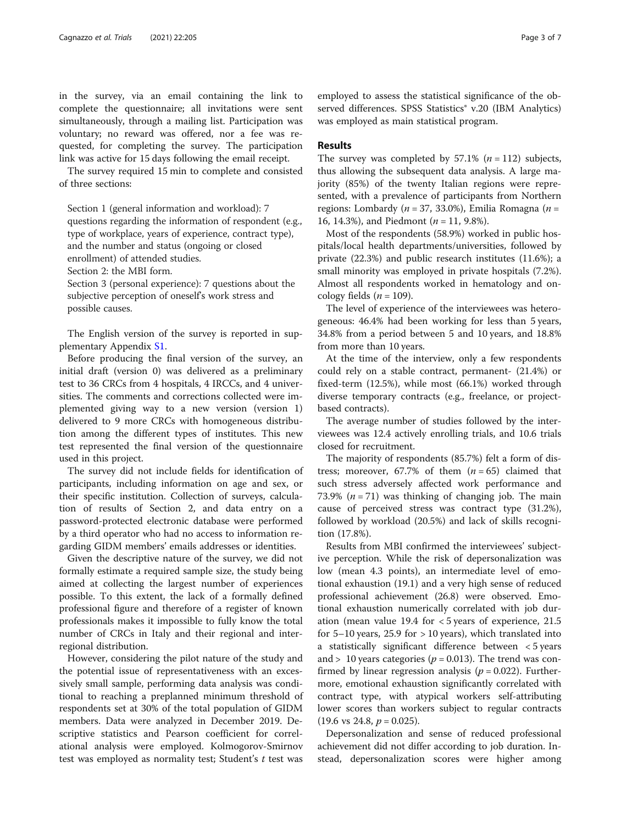in the survey, via an email containing the link to complete the questionnaire; all invitations were sent simultaneously, through a mailing list. Participation was voluntary; no reward was offered, nor a fee was requested, for completing the survey. The participation link was active for 15 days following the email receipt.

The survey required 15 min to complete and consisted of three sections:

Section 1 (general information and workload): 7 questions regarding the information of respondent (e.g., type of workplace, years of experience, contract type), and the number and status (ongoing or closed enrollment) of attended studies.

Section 2: the MBI form.

Section 3 (personal experience): 7 questions about the subjective perception of oneself's work stress and possible causes.

The English version of the survey is reported in supplementary Appendix [S1](#page-5-0).

Before producing the final version of the survey, an initial draft (version 0) was delivered as a preliminary test to 36 CRCs from 4 hospitals, 4 IRCCs, and 4 universities. The comments and corrections collected were implemented giving way to a new version (version 1) delivered to 9 more CRCs with homogeneous distribution among the different types of institutes. This new test represented the final version of the questionnaire used in this project.

The survey did not include fields for identification of participants, including information on age and sex, or their specific institution. Collection of surveys, calculation of results of Section 2, and data entry on a password-protected electronic database were performed by a third operator who had no access to information regarding GIDM members' emails addresses or identities.

Given the descriptive nature of the survey, we did not formally estimate a required sample size, the study being aimed at collecting the largest number of experiences possible. To this extent, the lack of a formally defined professional figure and therefore of a register of known professionals makes it impossible to fully know the total number of CRCs in Italy and their regional and interregional distribution.

However, considering the pilot nature of the study and the potential issue of representativeness with an excessively small sample, performing data analysis was conditional to reaching a preplanned minimum threshold of respondents set at 30% of the total population of GIDM members. Data were analyzed in December 2019. Descriptive statistics and Pearson coefficient for correlational analysis were employed. Kolmogorov-Smirnov test was employed as normality test; Student's  $t$  test was

employed to assess the statistical significance of the observed differences. SPSS Statistics<sup>®</sup> v.20 (IBM Analytics) was employed as main statistical program.

#### Results

The survey was completed by  $57.1\%$  ( $n = 112$ ) subjects, thus allowing the subsequent data analysis. A large majority (85%) of the twenty Italian regions were represented, with a prevalence of participants from Northern regions: Lombardy ( $n = 37, 33.0\%$ ), Emilia Romagna ( $n =$ 16, 14.3%), and Piedmont ( $n = 11$ , 9.8%).

Most of the respondents (58.9%) worked in public hospitals/local health departments/universities, followed by private (22.3%) and public research institutes (11.6%); a small minority was employed in private hospitals (7.2%). Almost all respondents worked in hematology and oncology fields ( $n = 109$ ).

The level of experience of the interviewees was heterogeneous: 46.4% had been working for less than 5 years, 34.8% from a period between 5 and 10 years, and 18.8% from more than 10 years.

At the time of the interview, only a few respondents could rely on a stable contract, permanent- (21.4%) or fixed-term (12.5%), while most (66.1%) worked through diverse temporary contracts (e.g., freelance, or projectbased contracts).

The average number of studies followed by the interviewees was 12.4 actively enrolling trials, and 10.6 trials closed for recruitment.

The majority of respondents (85.7%) felt a form of distress; moreover, 67.7% of them  $(n = 65)$  claimed that such stress adversely affected work performance and 73.9% ( $n = 71$ ) was thinking of changing job. The main cause of perceived stress was contract type (31.2%), followed by workload (20.5%) and lack of skills recognition (17.8%).

Results from MBI confirmed the interviewees' subjective perception. While the risk of depersonalization was low (mean 4.3 points), an intermediate level of emotional exhaustion (19.1) and a very high sense of reduced professional achievement (26.8) were observed. Emotional exhaustion numerically correlated with job duration (mean value 19.4 for < 5 years of experience, 21.5 for  $5-10$  years,  $25.9$  for  $> 10$  years), which translated into a statistically significant difference between < 5 years and > 10 years categories ( $p = 0.013$ ). The trend was confirmed by linear regression analysis ( $p = 0.022$ ). Furthermore, emotional exhaustion significantly correlated with contract type, with atypical workers self-attributing lower scores than workers subject to regular contracts  $(19.6 \text{ vs } 24.8, p = 0.025).$ 

Depersonalization and sense of reduced professional achievement did not differ according to job duration. Instead, depersonalization scores were higher among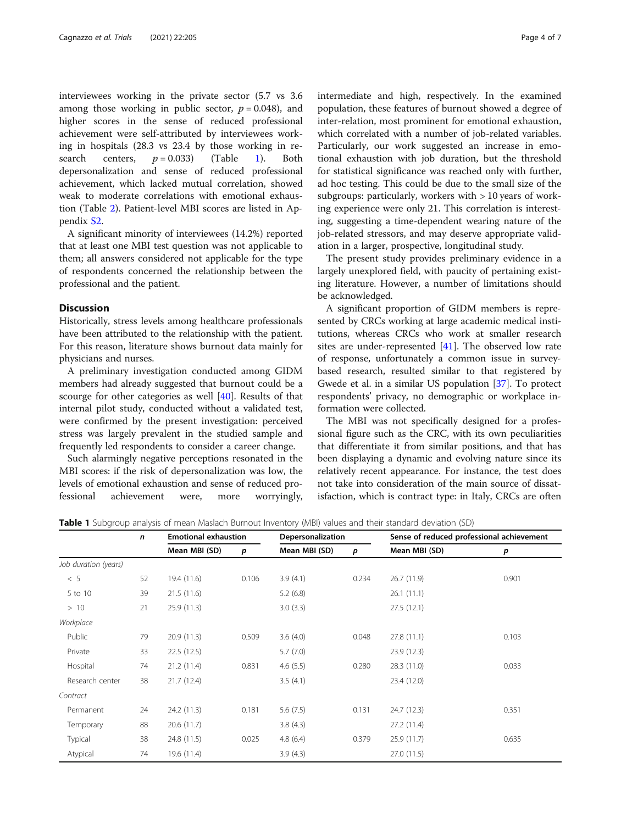interviewees working in the private sector (5.7 vs 3.6 among those working in public sector,  $p = 0.048$ , and higher scores in the sense of reduced professional achievement were self-attributed by interviewees working in hospitals (28.3 vs 23.4 by those working in research centers,  $p = 0.033$ ) (Table 1). Both depersonalization and sense of reduced professional achievement, which lacked mutual correlation, showed weak to moderate correlations with emotional exhaustion (Table [2\)](#page-4-0). Patient-level MBI scores are listed in Appendix [S2](#page-5-0).

A significant minority of interviewees (14.2%) reported that at least one MBI test question was not applicable to them; all answers considered not applicable for the type of respondents concerned the relationship between the professional and the patient.

#### **Discussion**

Historically, stress levels among healthcare professionals have been attributed to the relationship with the patient. For this reason, literature shows burnout data mainly for physicians and nurses.

A preliminary investigation conducted among GIDM members had already suggested that burnout could be a scourge for other categories as well [\[40](#page-6-0)]. Results of that internal pilot study, conducted without a validated test, were confirmed by the present investigation: perceived stress was largely prevalent in the studied sample and frequently led respondents to consider a career change.

Such alarmingly negative perceptions resonated in the MBI scores: if the risk of depersonalization was low, the levels of emotional exhaustion and sense of reduced professional achievement were, more worryingly, intermediate and high, respectively. In the examined population, these features of burnout showed a degree of inter-relation, most prominent for emotional exhaustion, which correlated with a number of job-related variables. Particularly, our work suggested an increase in emotional exhaustion with job duration, but the threshold for statistical significance was reached only with further, ad hoc testing. This could be due to the small size of the subgroups: particularly, workers with > 10 years of working experience were only 21. This correlation is interesting, suggesting a time-dependent wearing nature of the job-related stressors, and may deserve appropriate validation in a larger, prospective, longitudinal study.

The present study provides preliminary evidence in a largely unexplored field, with paucity of pertaining existing literature. However, a number of limitations should be acknowledged.

A significant proportion of GIDM members is represented by CRCs working at large academic medical institutions, whereas CRCs who work at smaller research sites are under-represented  $[41]$  $[41]$ . The observed low rate of response, unfortunately a common issue in surveybased research, resulted similar to that registered by Gwede et al. in a similar US population [[37\]](#page-6-0). To protect respondents' privacy, no demographic or workplace information were collected.

The MBI was not specifically designed for a professional figure such as the CRC, with its own peculiarities that differentiate it from similar positions, and that has been displaying a dynamic and evolving nature since its relatively recent appearance. For instance, the test does not take into consideration of the main source of dissatisfaction, which is contract type: in Italy, CRCs are often

| Table 1 Subgroup analysis of mean Maslach Burnout Inventory (MBI) values and their standard deviation (SD) |  |
|------------------------------------------------------------------------------------------------------------|--|
|------------------------------------------------------------------------------------------------------------|--|

|                      | n  | <b>Emotional exhaustion</b> |       | Depersonalization |       | Sense of reduced professional achievement |       |
|----------------------|----|-----------------------------|-------|-------------------|-------|-------------------------------------------|-------|
|                      |    | Mean MBI (SD)               | р     | Mean MBI (SD)     | p     | Mean MBI (SD)                             | p     |
| Job duration (years) |    |                             |       |                   |       |                                           |       |
| < 5                  | 52 | 19.4 (11.6)                 | 0.106 | 3.9(4.1)          | 0.234 | 26.7(11.9)                                | 0.901 |
| 5 to 10              | 39 | 21.5(11.6)                  |       | 5.2(6.8)          |       | 26.1(11.1)                                |       |
| >10                  | 21 | 25.9(11.3)                  |       | 3.0(3.3)          |       | 27.5(12.1)                                |       |
| Workplace            |    |                             |       |                   |       |                                           |       |
| Public               | 79 | 20.9(11.3)                  | 0.509 | 3.6(4.0)          | 0.048 | 27.8(11.1)                                | 0.103 |
| Private              | 33 | 22.5(12.5)                  |       | 5.7(7.0)          |       | 23.9(12.3)                                |       |
| Hospital             | 74 | 21.2(11.4)                  | 0.831 | 4.6(5.5)          | 0.280 | 28.3 (11.0)                               | 0.033 |
| Research center      | 38 | 21.7(12.4)                  |       | 3.5(4.1)          |       | 23.4 (12.0)                               |       |
| Contract             |    |                             |       |                   |       |                                           |       |
| Permanent            | 24 | 24.2 (11.3)                 | 0.181 | 5.6(7.5)          | 0.131 | 24.7 (12.3)                               | 0.351 |
| Temporary            | 88 | 20.6(11.7)                  |       | 3.8(4.3)          |       | 27.2 (11.4)                               |       |
| Typical              | 38 | 24.8 (11.5)                 | 0.025 | 4.8(6.4)          | 0.379 | 25.9(11.7)                                | 0.635 |
| Atypical             | 74 | 19.6 (11.4)                 |       | 3.9(4.3)          |       | 27.0 (11.5)                               |       |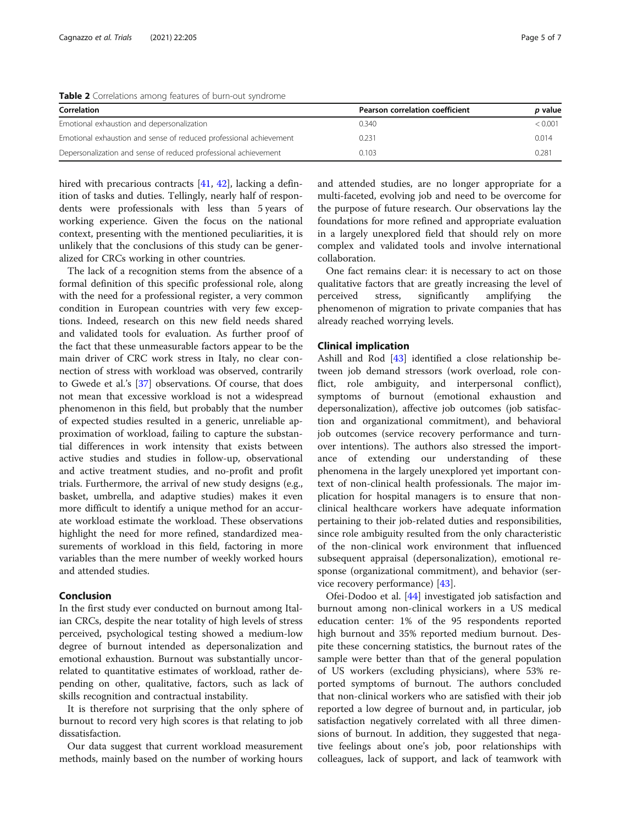<span id="page-4-0"></span>Table 2 Correlations among features of burn-out syndrome

| Correlation                                                        | Pearson correlation coefficient | <i>p</i> value |
|--------------------------------------------------------------------|---------------------------------|----------------|
| Emotional exhaustion and depersonalization                         | 0.340                           | < 0.001        |
| Emotional exhaustion and sense of reduced professional achievement | 0.231                           | 0.014          |
| Depersonalization and sense of reduced professional achievement    | 0.103                           | 0.281          |

hired with precarious contracts [[41](#page-6-0), [42\]](#page-6-0), lacking a definition of tasks and duties. Tellingly, nearly half of respondents were professionals with less than 5 years of working experience. Given the focus on the national context, presenting with the mentioned peculiarities, it is unlikely that the conclusions of this study can be generalized for CRCs working in other countries.

The lack of a recognition stems from the absence of a formal definition of this specific professional role, along with the need for a professional register, a very common condition in European countries with very few exceptions. Indeed, research on this new field needs shared and validated tools for evaluation. As further proof of the fact that these unmeasurable factors appear to be the main driver of CRC work stress in Italy, no clear connection of stress with workload was observed, contrarily to Gwede et al.'s [[37\]](#page-6-0) observations. Of course, that does not mean that excessive workload is not a widespread phenomenon in this field, but probably that the number of expected studies resulted in a generic, unreliable approximation of workload, failing to capture the substantial differences in work intensity that exists between active studies and studies in follow-up, observational and active treatment studies, and no-profit and profit trials. Furthermore, the arrival of new study designs (e.g., basket, umbrella, and adaptive studies) makes it even more difficult to identify a unique method for an accurate workload estimate the workload. These observations highlight the need for more refined, standardized measurements of workload in this field, factoring in more variables than the mere number of weekly worked hours and attended studies.

#### Conclusion

In the first study ever conducted on burnout among Italian CRCs, despite the near totality of high levels of stress perceived, psychological testing showed a medium-low degree of burnout intended as depersonalization and emotional exhaustion. Burnout was substantially uncorrelated to quantitative estimates of workload, rather depending on other, qualitative, factors, such as lack of skills recognition and contractual instability.

It is therefore not surprising that the only sphere of burnout to record very high scores is that relating to job dissatisfaction.

Our data suggest that current workload measurement methods, mainly based on the number of working hours

and attended studies, are no longer appropriate for a multi-faceted, evolving job and need to be overcome for the purpose of future research. Our observations lay the foundations for more refined and appropriate evaluation in a largely unexplored field that should rely on more complex and validated tools and involve international collaboration.

One fact remains clear: it is necessary to act on those qualitative factors that are greatly increasing the level of perceived stress, significantly amplifying the phenomenon of migration to private companies that has already reached worrying levels.

#### Clinical implication

Ashill and Rod [\[43](#page-6-0)] identified a close relationship between job demand stressors (work overload, role conflict, role ambiguity, and interpersonal conflict), symptoms of burnout (emotional exhaustion and depersonalization), affective job outcomes (job satisfaction and organizational commitment), and behavioral job outcomes (service recovery performance and turnover intentions). The authors also stressed the importance of extending our understanding of these phenomena in the largely unexplored yet important context of non-clinical health professionals. The major implication for hospital managers is to ensure that nonclinical healthcare workers have adequate information pertaining to their job-related duties and responsibilities, since role ambiguity resulted from the only characteristic of the non-clinical work environment that influenced subsequent appraisal (depersonalization), emotional response (organizational commitment), and behavior (service recovery performance) [\[43\]](#page-6-0).

Ofei-Dodoo et al. [\[44\]](#page-6-0) investigated job satisfaction and burnout among non-clinical workers in a US medical education center: 1% of the 95 respondents reported high burnout and 35% reported medium burnout. Despite these concerning statistics, the burnout rates of the sample were better than that of the general population of US workers (excluding physicians), where 53% reported symptoms of burnout. The authors concluded that non-clinical workers who are satisfied with their job reported a low degree of burnout and, in particular, job satisfaction negatively correlated with all three dimensions of burnout. In addition, they suggested that negative feelings about one's job, poor relationships with colleagues, lack of support, and lack of teamwork with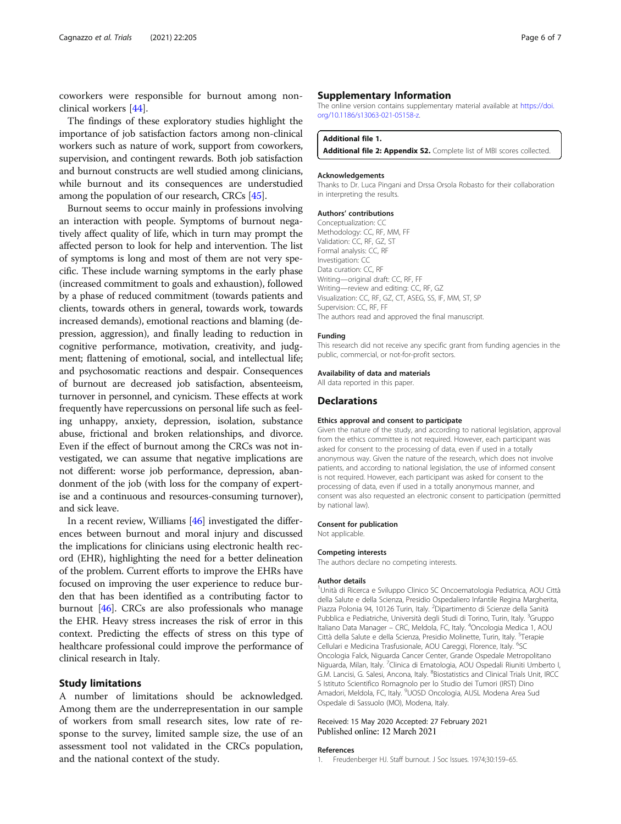<span id="page-5-0"></span>coworkers were responsible for burnout among nonclinical workers [[44\]](#page-6-0).

The findings of these exploratory studies highlight the importance of job satisfaction factors among non-clinical workers such as nature of work, support from coworkers, supervision, and contingent rewards. Both job satisfaction and burnout constructs are well studied among clinicians, while burnout and its consequences are understudied among the population of our research, CRCs [\[45\]](#page-6-0).

Burnout seems to occur mainly in professions involving an interaction with people. Symptoms of burnout negatively affect quality of life, which in turn may prompt the affected person to look for help and intervention. The list of symptoms is long and most of them are not very specific. These include warning symptoms in the early phase (increased commitment to goals and exhaustion), followed by a phase of reduced commitment (towards patients and clients, towards others in general, towards work, towards increased demands), emotional reactions and blaming (depression, aggression), and finally leading to reduction in cognitive performance, motivation, creativity, and judgment; flattening of emotional, social, and intellectual life; and psychosomatic reactions and despair. Consequences of burnout are decreased job satisfaction, absenteeism, turnover in personnel, and cynicism. These effects at work frequently have repercussions on personal life such as feeling unhappy, anxiety, depression, isolation, substance abuse, frictional and broken relationships, and divorce. Even if the effect of burnout among the CRCs was not investigated, we can assume that negative implications are not different: worse job performance, depression, abandonment of the job (with loss for the company of expertise and a continuous and resources-consuming turnover), and sick leave.

In a recent review, Williams [\[46\]](#page-6-0) investigated the differences between burnout and moral injury and discussed the implications for clinicians using electronic health record (EHR), highlighting the need for a better delineation of the problem. Current efforts to improve the EHRs have focused on improving the user experience to reduce burden that has been identified as a contributing factor to burnout [\[46\]](#page-6-0). CRCs are also professionals who manage the EHR. Heavy stress increases the risk of error in this context. Predicting the effects of stress on this type of healthcare professional could improve the performance of clinical research in Italy.

#### Study limitations

A number of limitations should be acknowledged. Among them are the underrepresentation in our sample of workers from small research sites, low rate of response to the survey, limited sample size, the use of an assessment tool not validated in the CRCs population, and the national context of the study.

#### Supplementary Information

The online version contains supplementary material available at [https://doi.](https://doi.org/10.1186/s13063-021-05158-z) [org/10.1186/s13063-021-05158-z](https://doi.org/10.1186/s13063-021-05158-z).

#### Additional file 1.

Additional file 2: Appendix S2. Complete list of MBI scores collected.

#### Acknowledgements

Thanks to Dr. Luca Pingani and Drssa Orsola Robasto for their collaboration in interpreting the results.

#### Authors' contributions

Conceptualization: CC Methodology: CC, RF, MM, FF Validation: CC, RF, GZ, ST Formal analysis: CC, RF Investigation: CC Data curation: CC, RF Writing—original draft: CC, RF, FF Writing—review and editing: CC, RF, GZ Visualization: CC, RF, GZ, CT, ASEG, SS, IF, MM, ST, SP Supervision: CC, RF, FF The authors read and approved the final manuscript.

#### Funding

This research did not receive any specific grant from funding agencies in the public, commercial, or not-for-profit sectors.

#### Availability of data and materials

All data reported in this paper.

#### **Declarations**

#### Ethics approval and consent to participate

Given the nature of the study, and according to national legislation, approval from the ethics committee is not required. However, each participant was asked for consent to the processing of data, even if used in a totally anonymous way. Given the nature of the research, which does not involve patients, and according to national legislation, the use of informed consent is not required. However, each participant was asked for consent to the processing of data, even if used in a totally anonymous manner, and consent was also requested an electronic consent to participation (permitted by national law).

#### Consent for publication

Not applicable.

#### Competing interests

The authors declare no competing interests.

#### Author details

<sup>1</sup>Unità di Ricerca e Sviluppo Clinico SC Oncoematologia Pediatrica, AOU Città della Salute e della Scienza, Presidio Ospedaliero Infantile Regina Margherita, Piazza Polonia 94, 10126 Turin, Italy. <sup>2</sup>Dipartimento di Scienze della Sanità Pubblica e Pediatriche, Università degli Studi di Torino, Turin, Italy. <sup>3</sup>Gruppc Italiano Data Manager - CRC, Meldola, FC, Italy. <sup>4</sup>Oncologia Medica 1, AOU Città della Salute e della Scienza, Presidio Molinette, Turin, Italy. <sup>5</sup>Terapie Cellulari e Medicina Trasfusionale, AOU Careggi, Florence, Italy. <sup>6</sup>SC Oncologia Falck, Niguarda Cancer Center, Grande Ospedale Metropolitano Niguarda, Milan, Italy. <sup>7</sup>Clinica di Ematologia, AOU Ospedali Riuniti Umberto I G.M. Lancisi, G. Salesi, Ancona, Italy. <sup>8</sup>Biostatistics and Clinical Trials Unit, IRCC S Istituto Scientifico Romagnolo per lo Studio dei Tumori (IRST) Dino Amadori, Meldola, FC, Italy. <sup>9</sup>UOSD Oncologia, AUSL Modena Area Sud Ospedale di Sassuolo (MO), Modena, Italy.

#### Received: 15 May 2020 Accepted: 27 February 2021 Published online: 12 March 2021

#### References

1. Freudenberger HJ. Staff burnout. J Soc Issues. 1974;30:159–65.